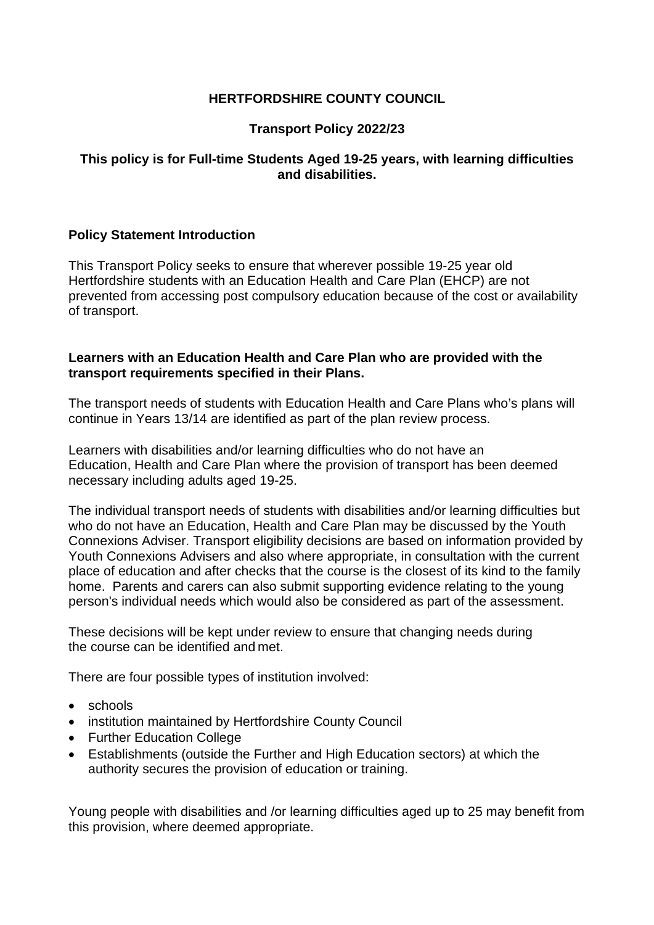## **HERTFORDSHIRE COUNTY COUNCIL**

## **Transport Policy 2022/23**

### **This policy is for Full-time Students Aged 19-25 years, with learning difficulties and disabilities.**

### **Policy Statement Introduction**

 This Transport Policy seeks to ensure that wherever possible 19-25 year old Hertfordshire students with an Education Health and Care Plan (EHCP) are not prevented from accessing post compulsory education because of the cost or availability of transport.

#### **Learners with an Education Health and Care Plan who are provided with the transport requirements specified in their Plans.**

 The transport needs of students with Education Health and Care Plans who's plans will continue in Years 13/14 are identified as part of the plan review process.

 Learners with disabilities and/or learning difficulties who do not have an Education, Health and Care Plan where the provision of transport has been deemed necessary including adults aged 19-25.

 The individual transport needs of students with disabilities and/or learning difficulties but who do not have an Education, Health and Care Plan may be discussed by the Youth Connexions Adviser. Transport eligibility decisions are based on information provided by Youth Connexions Advisers and also where appropriate, in consultation with the current place of education and after checks that the course is the closest of its kind to the family home. Parents and carers can also submit supporting evidence relating to the young person's individual needs which would also be considered as part of the assessment.

 These decisions will be kept under review to ensure that changing needs during the course can be identified and met.

There are four possible types of institution involved:

- schools
- institution maintained by Hertfordshire County Council
- Further Education College
- Establishments (outside the Further and High Education sectors) at which the authority secures the provision of education or training.

 Young people with disabilities and /or learning difficulties aged up to 25 may benefit from this provision, where deemed appropriate.